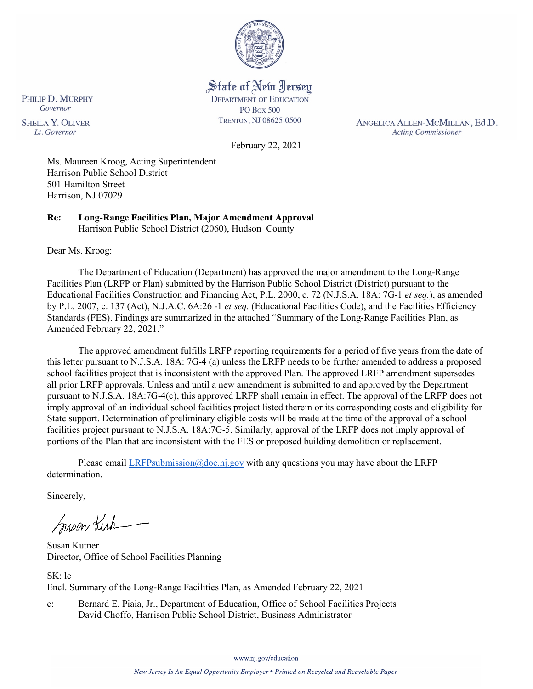

State of New Jersey **DEPARTMENT OF EDUCATION** 

**PO Box 500** TRENTON, NJ 08625-0500

ANGELICA ALLEN-MCMILLAN, Ed.D. **Acting Commissioner** 

Governor **SHEILA Y. OLIVER** Lt. Governor

PHILIP D. MURPHY

February 22, 2021

Ms. Maureen Kroog, Acting Superintendent Harrison Public School District 501 Hamilton Street Harrison, NJ 07029

**Re: Long-Range Facilities Plan, Major Amendment Approval**  Harrison Public School District (2060), Hudson County

Dear Ms. Kroog:

The Department of Education (Department) has approved the major amendment to the Long-Range Facilities Plan (LRFP or Plan) submitted by the Harrison Public School District (District) pursuant to the Educational Facilities Construction and Financing Act, P.L. 2000, c. 72 (N.J.S.A. 18A: 7G-1 *et seq.*), as amended by P.L. 2007, c. 137 (Act), N.J.A.C. 6A:26 -1 *et seq.* (Educational Facilities Code), and the Facilities Efficiency Standards (FES). Findings are summarized in the attached "Summary of the Long-Range Facilities Plan, as Amended February 22, 2021."

The approved amendment fulfills LRFP reporting requirements for a period of five years from the date of this letter pursuant to N.J.S.A. 18A: 7G-4 (a) unless the LRFP needs to be further amended to address a proposed school facilities project that is inconsistent with the approved Plan. The approved LRFP amendment supersedes all prior LRFP approvals. Unless and until a new amendment is submitted to and approved by the Department pursuant to N.J.S.A. 18A:7G-4(c), this approved LRFP shall remain in effect. The approval of the LRFP does not imply approval of an individual school facilities project listed therein or its corresponding costs and eligibility for State support. Determination of preliminary eligible costs will be made at the time of the approval of a school facilities project pursuant to N.J.S.A. 18A:7G-5. Similarly, approval of the LRFP does not imply approval of portions of the Plan that are inconsistent with the FES or proposed building demolition or replacement.

Please email [LRFPsubmission@doe.nj.gov](mailto:LRFPsubmission@doe.nj.gov) with any questions you may have about the LRFP determination.

Sincerely,

Susan Kich

Susan Kutner Director, Office of School Facilities Planning

SK: lc Encl. Summary of the Long-Range Facilities Plan, as Amended February 22, 2021

c: Bernard E. Piaia, Jr., Department of Education, Office of School Facilities Projects David Choffo, Harrison Public School District, Business Administrator

www.nj.gov/education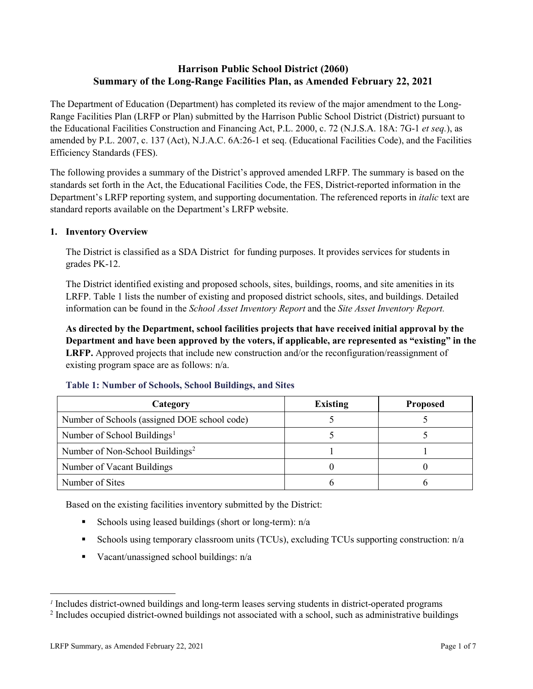# **Harrison Public School District (2060) Summary of the Long-Range Facilities Plan, as Amended February 22, 2021**

The Department of Education (Department) has completed its review of the major amendment to the Long-Range Facilities Plan (LRFP or Plan) submitted by the Harrison Public School District (District) pursuant to the Educational Facilities Construction and Financing Act, P.L. 2000, c. 72 (N.J.S.A. 18A: 7G-1 *et seq.*), as amended by P.L. 2007, c. 137 (Act), N.J.A.C. 6A:26-1 et seq. (Educational Facilities Code), and the Facilities Efficiency Standards (FES).

The following provides a summary of the District's approved amended LRFP. The summary is based on the standards set forth in the Act, the Educational Facilities Code, the FES, District-reported information in the Department's LRFP reporting system, and supporting documentation. The referenced reports in *italic* text are standard reports available on the Department's LRFP website.

### **1. Inventory Overview**

The District is classified as a SDA District for funding purposes. It provides services for students in grades PK-12.

The District identified existing and proposed schools, sites, buildings, rooms, and site amenities in its LRFP. Table 1 lists the number of existing and proposed district schools, sites, and buildings. Detailed information can be found in the *School Asset Inventory Report* and the *Site Asset Inventory Report.*

**As directed by the Department, school facilities projects that have received initial approval by the Department and have been approved by the voters, if applicable, are represented as "existing" in the LRFP.** Approved projects that include new construction and/or the reconfiguration/reassignment of existing program space are as follows: n/a.

| Category                                     | <b>Existing</b> | <b>Proposed</b> |
|----------------------------------------------|-----------------|-----------------|
| Number of Schools (assigned DOE school code) |                 |                 |
| Number of School Buildings <sup>1</sup>      |                 |                 |
| Number of Non-School Buildings <sup>2</sup>  |                 |                 |
| Number of Vacant Buildings                   |                 |                 |
| Number of Sites                              |                 |                 |

#### **Table 1: Number of Schools, School Buildings, and Sites**

Based on the existing facilities inventory submitted by the District:

- Schools using leased buildings (short or long-term):  $n/a$
- Schools using temporary classroom units (TCUs), excluding TCUs supporting construction: n/a
- Vacant/unassigned school buildings:  $n/a$

 $\overline{a}$ 

<span id="page-1-1"></span><span id="page-1-0"></span>*<sup>1</sup>* Includes district-owned buildings and long-term leases serving students in district-operated programs

<sup>&</sup>lt;sup>2</sup> Includes occupied district-owned buildings not associated with a school, such as administrative buildings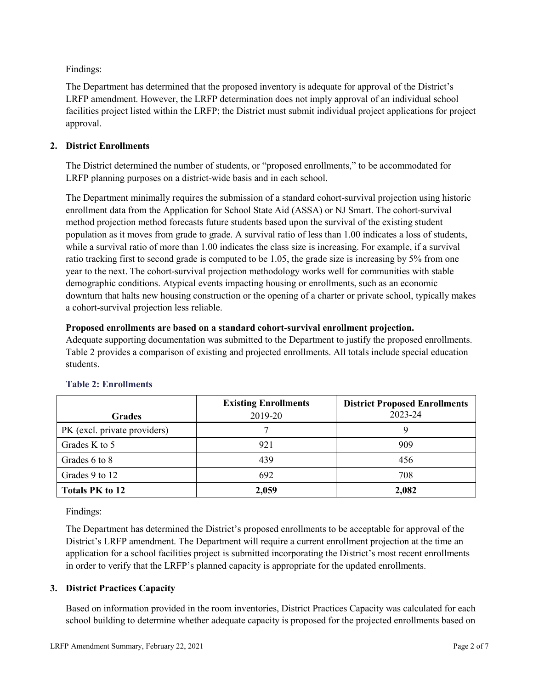Findings:

The Department has determined that the proposed inventory is adequate for approval of the District's LRFP amendment. However, the LRFP determination does not imply approval of an individual school facilities project listed within the LRFP; the District must submit individual project applications for project approval.

### **2. District Enrollments**

The District determined the number of students, or "proposed enrollments," to be accommodated for LRFP planning purposes on a district-wide basis and in each school.

The Department minimally requires the submission of a standard cohort-survival projection using historic enrollment data from the Application for School State Aid (ASSA) or NJ Smart. The cohort-survival method projection method forecasts future students based upon the survival of the existing student population as it moves from grade to grade. A survival ratio of less than 1.00 indicates a loss of students, while a survival ratio of more than 1.00 indicates the class size is increasing. For example, if a survival ratio tracking first to second grade is computed to be 1.05, the grade size is increasing by 5% from one year to the next. The cohort-survival projection methodology works well for communities with stable demographic conditions. Atypical events impacting housing or enrollments, such as an economic downturn that halts new housing construction or the opening of a charter or private school, typically makes a cohort-survival projection less reliable.

### **Proposed enrollments are based on a standard cohort-survival enrollment projection.**

Adequate supporting documentation was submitted to the Department to justify the proposed enrollments. Table 2 provides a comparison of existing and projected enrollments. All totals include special education students.

|                              | <b>Existing Enrollments</b> | <b>District Proposed Enrollments</b> |
|------------------------------|-----------------------------|--------------------------------------|
| <b>Grades</b>                | 2019-20                     | 2023-24                              |
| PK (excl. private providers) |                             |                                      |
| Grades K to 5                | 921                         | 909                                  |
| Grades 6 to 8                | 439                         | 456                                  |
| Grades 9 to 12               | 692                         | 708                                  |
| <b>Totals PK to 12</b>       | 2,059                       | 2,082                                |

# **Table 2: Enrollments**

Findings:

The Department has determined the District's proposed enrollments to be acceptable for approval of the District's LRFP amendment. The Department will require a current enrollment projection at the time an application for a school facilities project is submitted incorporating the District's most recent enrollments in order to verify that the LRFP's planned capacity is appropriate for the updated enrollments.

# **3. District Practices Capacity**

Based on information provided in the room inventories, District Practices Capacity was calculated for each school building to determine whether adequate capacity is proposed for the projected enrollments based on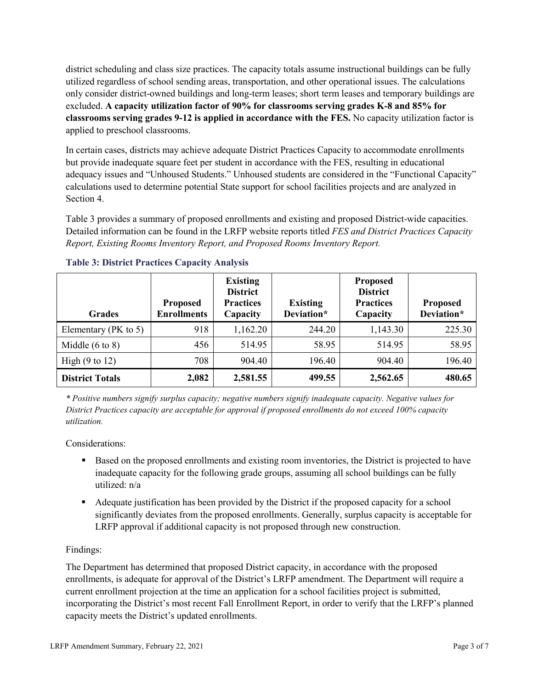district scheduling and class size practices. The capacity totals assume instructional buildings can be fully utilized regardless of school sending areas, transportation, and other operational issues. The calculations only consider district-owned buildings and long-term leases; short term leases and temporary buildings are excluded. **A capacity utilization factor of 90% for classrooms serving grades K-8 and 85% for classrooms serving grades 9-12 is applied in accordance with the FES.** No capacity utilization factor is applied to preschool classrooms.

In certain cases, districts may achieve adequate District Practices Capacity to accommodate enrollments but provide inadequate square feet per student in accordance with the FES, resulting in educational adequacy issues and "Unhoused Students." Unhoused students are considered in the "Functional Capacity" calculations used to determine potential State support for school facilities projects and are analyzed in Section 4.

Table 3 provides a summary of proposed enrollments and existing and proposed District-wide capacities. Detailed information can be found in the LRFP website reports titled *FES and District Practices Capacity Report, Existing Rooms Inventory Report, and Proposed Rooms Inventory Report.*

| <b>Grades</b>              | <b>Proposed</b><br><b>Enrollments</b> | <b>Existing</b><br><b>District</b><br><b>Practices</b><br>Capacity | <b>Existing</b><br>Deviation* | <b>Proposed</b><br><b>District</b><br><b>Practices</b><br>Capacity | <b>Proposed</b><br>Deviation* |
|----------------------------|---------------------------------------|--------------------------------------------------------------------|-------------------------------|--------------------------------------------------------------------|-------------------------------|
| Elementary ( $PK$ to 5)    | 918                                   | 1,162.20                                                           | 244.20                        | 1,143.30                                                           | 225.30                        |
| Middle $(6 \text{ to } 8)$ | 456                                   | 514.95                                                             | 58.95                         | 514.95                                                             | 58.95                         |
| High $(9 \text{ to } 12)$  | 708                                   | 904.40                                                             | 196.40                        | 904.40                                                             | 196.40                        |
| <b>District Totals</b>     | 2,082                                 | 2,581.55                                                           | 499.55                        | 2,562.65                                                           | 480.65                        |

### **Table 3: District Practices Capacity Analysis**

*\* Positive numbers signify surplus capacity; negative numbers signify inadequate capacity. Negative values for District Practices capacity are acceptable for approval if proposed enrollments do not exceed 100% capacity utilization.*

Considerations:

- Based on the proposed enrollments and existing room inventories, the District is projected to have inadequate capacity for the following grade groups, assuming all school buildings can be fully utilized: n/a
- Adequate justification has been provided by the District if the proposed capacity for a school significantly deviates from the proposed enrollments. Generally, surplus capacity is acceptable for LRFP approval if additional capacity is not proposed through new construction.

# Findings:

The Department has determined that proposed District capacity, in accordance with the proposed enrollments, is adequate for approval of the District's LRFP amendment. The Department will require a current enrollment projection at the time an application for a school facilities project is submitted, incorporating the District's most recent Fall Enrollment Report, in order to verify that the LRFP's planned capacity meets the District's updated enrollments.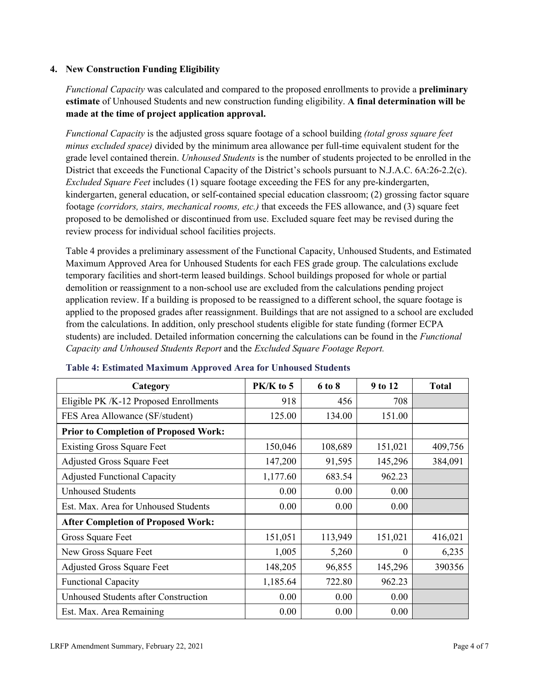### **4. New Construction Funding Eligibility**

*Functional Capacity* was calculated and compared to the proposed enrollments to provide a **preliminary estimate** of Unhoused Students and new construction funding eligibility. **A final determination will be made at the time of project application approval.**

*Functional Capacity* is the adjusted gross square footage of a school building *(total gross square feet minus excluded space)* divided by the minimum area allowance per full-time equivalent student for the grade level contained therein. *Unhoused Students* is the number of students projected to be enrolled in the District that exceeds the Functional Capacity of the District's schools pursuant to N.J.A.C. 6A:26-2.2(c). *Excluded Square Feet* includes (1) square footage exceeding the FES for any pre-kindergarten, kindergarten, general education, or self-contained special education classroom; (2) grossing factor square footage *(corridors, stairs, mechanical rooms, etc.)* that exceeds the FES allowance, and (3) square feet proposed to be demolished or discontinued from use. Excluded square feet may be revised during the review process for individual school facilities projects.

Table 4 provides a preliminary assessment of the Functional Capacity, Unhoused Students, and Estimated Maximum Approved Area for Unhoused Students for each FES grade group. The calculations exclude temporary facilities and short-term leased buildings. School buildings proposed for whole or partial demolition or reassignment to a non-school use are excluded from the calculations pending project application review. If a building is proposed to be reassigned to a different school, the square footage is applied to the proposed grades after reassignment. Buildings that are not assigned to a school are excluded from the calculations. In addition, only preschool students eligible for state funding (former ECPA students) are included. Detailed information concerning the calculations can be found in the *Functional Capacity and Unhoused Students Report* and the *Excluded Square Footage Report.*

| Category                                     | $PK/K$ to 5 | 6 to 8  | 9 to 12  | <b>Total</b> |
|----------------------------------------------|-------------|---------|----------|--------------|
| Eligible PK /K-12 Proposed Enrollments       | 918         | 456     | 708      |              |
| FES Area Allowance (SF/student)              | 125.00      | 134.00  | 151.00   |              |
| <b>Prior to Completion of Proposed Work:</b> |             |         |          |              |
| <b>Existing Gross Square Feet</b>            | 150,046     | 108,689 | 151,021  | 409,756      |
| <b>Adjusted Gross Square Feet</b>            | 147,200     | 91,595  | 145,296  | 384,091      |
| <b>Adjusted Functional Capacity</b>          | 1,177.60    | 683.54  | 962.23   |              |
| <b>Unhoused Students</b>                     | 0.00        | 0.00    | 0.00     |              |
| Est. Max. Area for Unhoused Students         | 0.00        | 0.00    | 0.00     |              |
| <b>After Completion of Proposed Work:</b>    |             |         |          |              |
| Gross Square Feet                            | 151,051     | 113,949 | 151,021  | 416,021      |
| New Gross Square Feet                        | 1,005       | 5,260   | $\theta$ | 6,235        |
| <b>Adjusted Gross Square Feet</b>            | 148,205     | 96,855  | 145,296  | 390356       |
| <b>Functional Capacity</b>                   | 1,185.64    | 722.80  | 962.23   |              |
| Unhoused Students after Construction         | 0.00        | 0.00    | 0.00     |              |
| Est. Max. Area Remaining                     | 0.00        | 0.00    | 0.00     |              |

### **Table 4: Estimated Maximum Approved Area for Unhoused Students**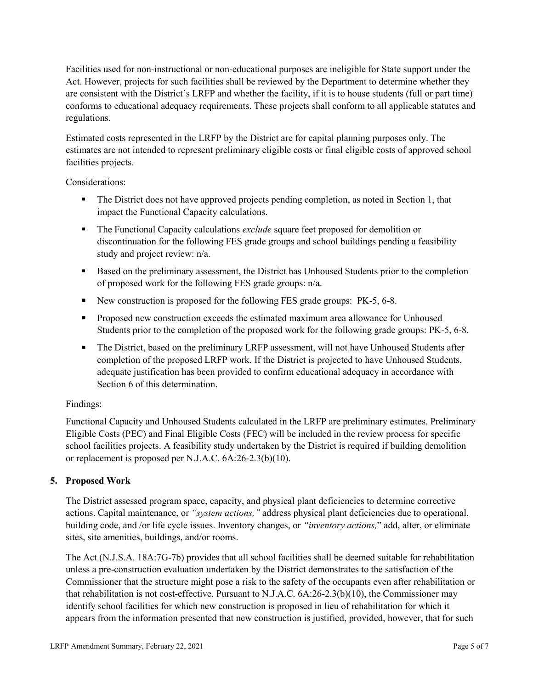Facilities used for non-instructional or non-educational purposes are ineligible for State support under the Act. However, projects for such facilities shall be reviewed by the Department to determine whether they are consistent with the District's LRFP and whether the facility, if it is to house students (full or part time) conforms to educational adequacy requirements. These projects shall conform to all applicable statutes and regulations.

Estimated costs represented in the LRFP by the District are for capital planning purposes only. The estimates are not intended to represent preliminary eligible costs or final eligible costs of approved school facilities projects.

Considerations:

- The District does not have approved projects pending completion, as noted in Section 1, that impact the Functional Capacity calculations.
- **The Functional Capacity calculations** *exclude* square feet proposed for demolition or discontinuation for the following FES grade groups and school buildings pending a feasibility study and project review: n/a.
- Based on the preliminary assessment, the District has Unhoused Students prior to the completion of proposed work for the following FES grade groups: n/a.
- New construction is proposed for the following FES grade groups: PK-5, 6-8.
- Proposed new construction exceeds the estimated maximum area allowance for Unhoused Students prior to the completion of the proposed work for the following grade groups: PK-5, 6-8.
- The District, based on the preliminary LRFP assessment, will not have Unhoused Students after completion of the proposed LRFP work. If the District is projected to have Unhoused Students, adequate justification has been provided to confirm educational adequacy in accordance with Section 6 of this determination.

### Findings:

Functional Capacity and Unhoused Students calculated in the LRFP are preliminary estimates. Preliminary Eligible Costs (PEC) and Final Eligible Costs (FEC) will be included in the review process for specific school facilities projects. A feasibility study undertaken by the District is required if building demolition or replacement is proposed per N.J.A.C. 6A:26-2.3(b)(10).

### **5. Proposed Work**

The District assessed program space, capacity, and physical plant deficiencies to determine corrective actions. Capital maintenance, or *"system actions,"* address physical plant deficiencies due to operational, building code, and /or life cycle issues. Inventory changes, or *"inventory actions,*" add, alter, or eliminate sites, site amenities, buildings, and/or rooms.

The Act (N.J.S.A. 18A:7G-7b) provides that all school facilities shall be deemed suitable for rehabilitation unless a pre-construction evaluation undertaken by the District demonstrates to the satisfaction of the Commissioner that the structure might pose a risk to the safety of the occupants even after rehabilitation or that rehabilitation is not cost-effective. Pursuant to N.J.A.C. 6A:26-2.3(b)(10), the Commissioner may identify school facilities for which new construction is proposed in lieu of rehabilitation for which it appears from the information presented that new construction is justified, provided, however, that for such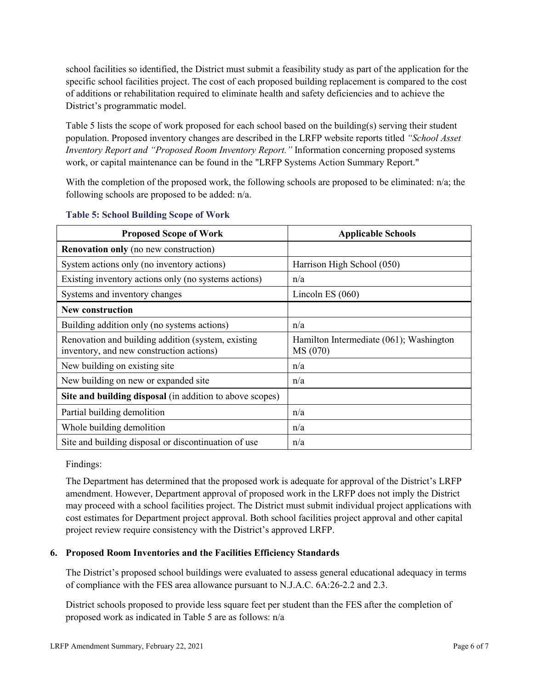school facilities so identified, the District must submit a feasibility study as part of the application for the specific school facilities project. The cost of each proposed building replacement is compared to the cost of additions or rehabilitation required to eliminate health and safety deficiencies and to achieve the District's programmatic model.

Table 5 lists the scope of work proposed for each school based on the building(s) serving their student population. Proposed inventory changes are described in the LRFP website reports titled *"School Asset Inventory Report and "Proposed Room Inventory Report."* Information concerning proposed systems work, or capital maintenance can be found in the "LRFP Systems Action Summary Report."

With the completion of the proposed work, the following schools are proposed to be eliminated: n/a; the following schools are proposed to be added: n/a.

| <b>Proposed Scope of Work</b>                                                                  | <b>Applicable Schools</b>                           |
|------------------------------------------------------------------------------------------------|-----------------------------------------------------|
| <b>Renovation only</b> (no new construction)                                                   |                                                     |
| System actions only (no inventory actions)                                                     | Harrison High School (050)                          |
| Existing inventory actions only (no systems actions)                                           | n/a                                                 |
| Systems and inventory changes                                                                  | Lincoln ES $(060)$                                  |
| <b>New construction</b>                                                                        |                                                     |
| Building addition only (no systems actions)                                                    | n/a                                                 |
| Renovation and building addition (system, existing<br>inventory, and new construction actions) | Hamilton Intermediate (061); Washington<br>MS (070) |
| New building on existing site                                                                  | n/a                                                 |
| New building on new or expanded site                                                           | n/a                                                 |
| Site and building disposal (in addition to above scopes)                                       |                                                     |
| Partial building demolition                                                                    | n/a                                                 |
| Whole building demolition                                                                      | n/a                                                 |
| Site and building disposal or discontinuation of use                                           | n/a                                                 |

#### **Table 5: School Building Scope of Work**

Findings:

The Department has determined that the proposed work is adequate for approval of the District's LRFP amendment. However, Department approval of proposed work in the LRFP does not imply the District may proceed with a school facilities project. The District must submit individual project applications with cost estimates for Department project approval. Both school facilities project approval and other capital project review require consistency with the District's approved LRFP.

### **6. Proposed Room Inventories and the Facilities Efficiency Standards**

The District's proposed school buildings were evaluated to assess general educational adequacy in terms of compliance with the FES area allowance pursuant to N.J.A.C. 6A:26-2.2 and 2.3.

District schools proposed to provide less square feet per student than the FES after the completion of proposed work as indicated in Table 5 are as follows: n/a